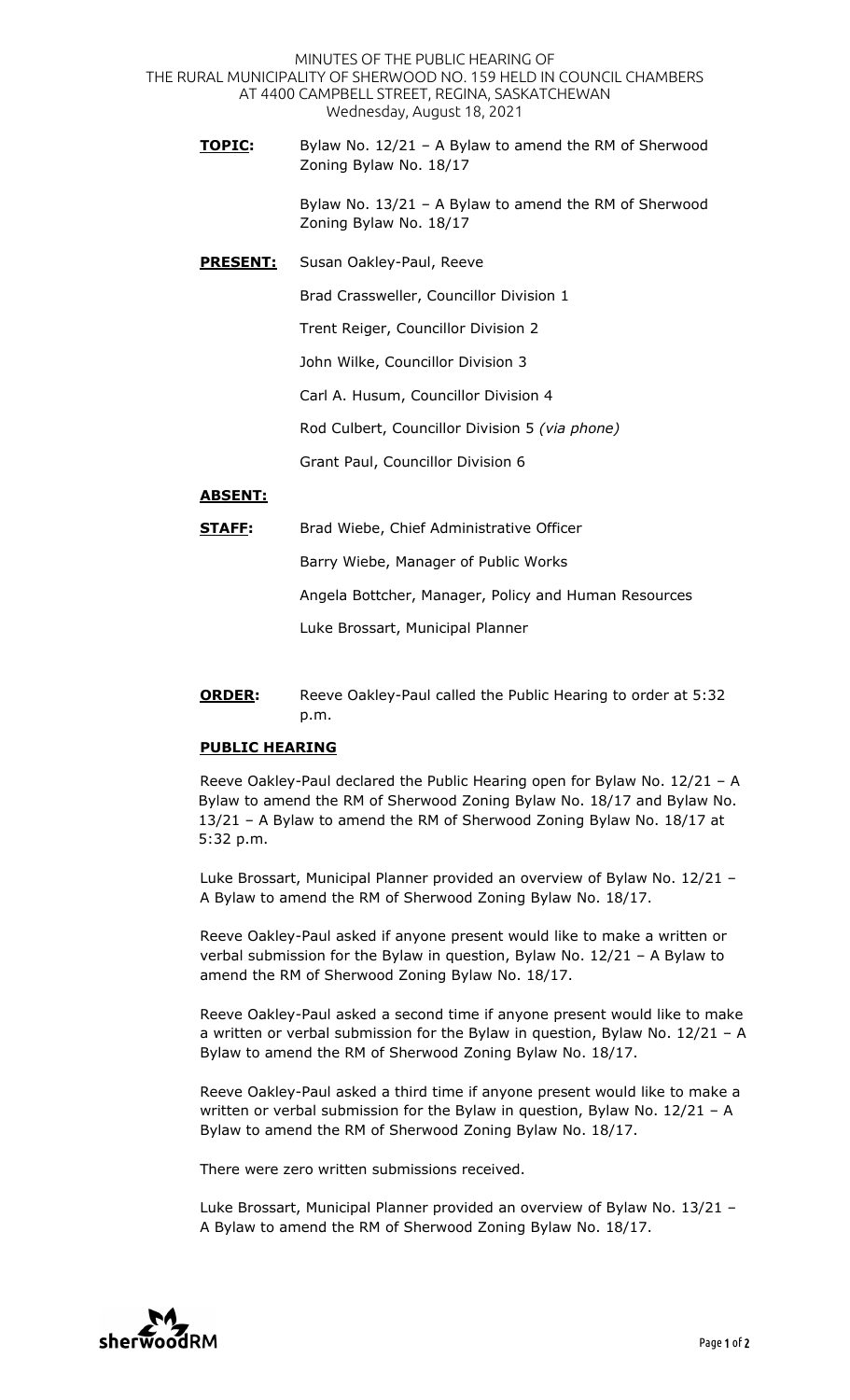MINUTES OF THE PUBLIC HEARING OF THE RURAL MUNICIPALITY OF SHERWOOD NO. 159 HELD IN COUNCIL CHAMBERS AT 4400 CAMPBELL STREET, REGINA, SASKATCHEWAN Wednesday, August 18, 2021

**TOPIC:** Bylaw No. 12/21 – A Bylaw to amend the RM of Sherwood Zoning Bylaw No. 18/17

> Bylaw No. 13/21 – A Bylaw to amend the RM of Sherwood Zoning Bylaw No. 18/17

**PRESENT:** Susan Oakley-Paul, Reeve

Brad Crassweller, Councillor Division 1

Trent Reiger, Councillor Division 2

John Wilke, Councillor Division 3

Carl A. Husum, Councillor Division 4

Rod Culbert, Councillor Division 5 *(via phone)* 

Grant Paul, Councillor Division 6

## **ABSENT:**

**STAFF:** Brad Wiebe, Chief Administrative Officer

Barry Wiebe, Manager of Public Works

Angela Bottcher, Manager, Policy and Human Resources

Luke Brossart, Municipal Planner

**ORDER:** Reeve Oakley-Paul called the Public Hearing to order at 5:32 p.m.

## **PUBLIC HEARING**

Reeve Oakley-Paul declared the Public Hearing open for Bylaw No. 12/21 – A Bylaw to amend the RM of Sherwood Zoning Bylaw No. 18/17 and Bylaw No. 13/21 – A Bylaw to amend the RM of Sherwood Zoning Bylaw No. 18/17 at 5:32 p.m.

Luke Brossart, Municipal Planner provided an overview of Bylaw No. 12/21 – A Bylaw to amend the RM of Sherwood Zoning Bylaw No. 18/17.

Reeve Oakley-Paul asked if anyone present would like to make a written or verbal submission for the Bylaw in question, Bylaw No. 12/21 – A Bylaw to amend the RM of Sherwood Zoning Bylaw No. 18/17.

Reeve Oakley-Paul asked a second time if anyone present would like to make a written or verbal submission for the Bylaw in question, Bylaw No. 12/21 – A Bylaw to amend the RM of Sherwood Zoning Bylaw No. 18/17.

Reeve Oakley-Paul asked a third time if anyone present would like to make a written or verbal submission for the Bylaw in question, Bylaw No. 12/21 - A Bylaw to amend the RM of Sherwood Zoning Bylaw No. 18/17.

There were zero written submissions received.

Luke Brossart, Municipal Planner provided an overview of Bylaw No. 13/21 – A Bylaw to amend the RM of Sherwood Zoning Bylaw No. 18/17.